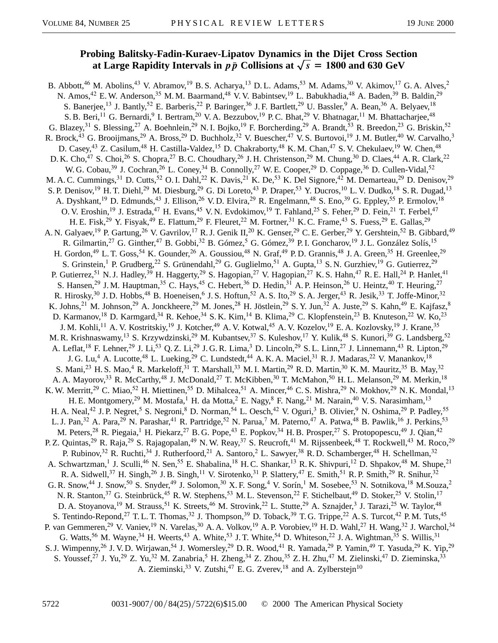## **Probing Balitsky-Fadin-Kuraev-Lipatov Dynamics in the Dijet Cross Section** at Large Rapidity Intervals in  $p\bar{p}$  Collisions at  $\sqrt{s}$  = 1800 and 630 GeV

B. Abbott,<sup>46</sup> M. Abolins,<sup>43</sup> V. Abramov,<sup>19</sup> B. S. Acharya,<sup>13</sup> D. L. Adams,<sup>53</sup> M. Adams,<sup>30</sup> V. Akimov,<sup>17</sup> G. A. Alves,<sup>2</sup> N. Amos,<sup>42</sup> E. W. Anderson,<sup>35</sup> M. M. Baarmand,<sup>48</sup> V. V. Babintsev,<sup>19</sup> L. Babukhadia,<sup>48</sup> A. Baden,<sup>39</sup> B. Baldin,<sup>29</sup> S. Banerjee,<sup>13</sup> J. Bantly,<sup>52</sup> E. Barberis,<sup>22</sup> P. Baringer,<sup>36</sup> J. F. Bartlett,<sup>29</sup> U. Bassler,<sup>9</sup> A. Bean,<sup>36</sup> A. Belyaev,<sup>18</sup> S. B. Beri,<sup>11</sup> G. Bernardi,<sup>9</sup> I. Bertram,<sup>20</sup> V. A. Bezzubov,<sup>19</sup> P. C. Bhat,<sup>29</sup> V. Bhatnagar,<sup>11</sup> M. Bhattacharjee,<sup>48</sup> G. Blazey,<sup>31</sup> S. Blessing,<sup>27</sup> A. Boehnlein,<sup>29</sup> N. I. Bojko,<sup>19</sup> F. Borcherding,<sup>29</sup> A. Brandt,<sup>53</sup> R. Breedon,<sup>23</sup> G. Briskin,<sup>52</sup> R. Brock,<sup>43</sup> G. Brooijmans,<sup>29</sup> A. Bross,<sup>29</sup> D. Buchholz,<sup>32</sup> V. Buescher,<sup>47</sup> V. S. Burtovoi,<sup>19</sup> J. M. Butler,<sup>40</sup> W. Carvalho,<sup>3</sup> D. Casey,<sup>43</sup> Z. Casilum,<sup>48</sup> H. Castilla-Valdez,<sup>15</sup> D. Chakraborty,<sup>48</sup> K. M. Chan,<sup>47</sup> S. V. Chekulaev,<sup>19</sup> W. Chen,<sup>48</sup> D. K. Cho,<sup>47</sup> S. Choi,<sup>26</sup> S. Chopra,<sup>27</sup> B. C. Choudhary,<sup>26</sup> J. H. Christenson,<sup>29</sup> M. Chung,<sup>30</sup> D. Claes,<sup>44</sup> A. R. Clark,<sup>22</sup> W. G. Cobau,<sup>39</sup> J. Cochran,<sup>26</sup> L. Coney,<sup>34</sup> B. Connolly,<sup>27</sup> W. E. Cooper,<sup>29</sup> D. Coppage,<sup>36</sup> D. Cullen-Vidal,<sup>52</sup> M. A. C. Cummings,<sup>31</sup> D. Cutts,<sup>52</sup> O. I. Dahl,<sup>22</sup> K. Davis,<sup>21</sup> K. De,<sup>53</sup> K. Del Signore,<sup>42</sup> M. Demarteau,<sup>29</sup> D. Denisov,<sup>29</sup> S. P. Denisov,<sup>19</sup> H. T. Diehl,<sup>29</sup> M. Diesburg,<sup>29</sup> G. Di Loreto,<sup>43</sup> P. Draper,<sup>53</sup> Y. Ducros,<sup>10</sup> L. V. Dudko,<sup>18</sup> S. R. Dugad,<sup>13</sup> A. Dyshkant,<sup>19</sup> D. Edmunds,<sup>43</sup> J. Ellison,<sup>26</sup> V.D. Elvira,<sup>29</sup> R. Engelmann,<sup>48</sup> S. Eno,<sup>39</sup> G. Eppley,<sup>55</sup> P. Ermolov,<sup>18</sup> O. V. Eroshin,<sup>19</sup> J. Estrada,<sup>47</sup> H. Evans,<sup>45</sup> V. N. Evdokimov,<sup>19</sup> T. Fahland,<sup>25</sup> S. Feher,<sup>29</sup> D. Fein,<sup>21</sup> T. Ferbel,<sup>47</sup> H. E. Fisk,<sup>29</sup> Y. Fisyak,<sup>49</sup> E. Flattum,<sup>29</sup> F. Fleuret,<sup>22</sup> M. Fortner,<sup>31</sup> K. C. Frame,<sup>43</sup> S. Fuess,<sup>29</sup> E. Gallas,<sup>29</sup> A. N. Galyaev,<sup>19</sup> P. Gartung,<sup>26</sup> V. Gavrilov,<sup>17</sup> R. J. Genik II,<sup>20</sup> K. Genser,<sup>29</sup> C. E. Gerber,<sup>29</sup> Y. Gershtein,<sup>52</sup> B. Gibbard,<sup>49</sup> R. Gilmartin,<sup>27</sup> G. Ginther,<sup>47</sup> B. Gobbi,<sup>32</sup> B. Gómez,<sup>5</sup> G. Gómez,<sup>39</sup> P.I. Goncharov,<sup>19</sup> J.L. González Solís,<sup>15</sup> H. Gordon,<sup>49</sup> L. T. Goss,<sup>54</sup> K. Gounder,<sup>26</sup> A. Goussiou,<sup>48</sup> N. Graf,<sup>49</sup> P. D. Grannis,<sup>48</sup> J. A. Green,<sup>35</sup> H. Greenlee,<sup>29</sup> S. Grinstein,<sup>1</sup> P. Grudberg,<sup>22</sup> S. Grünendahl,<sup>29</sup> G. Guglielmo,<sup>51</sup> A. Gupta,<sup>13</sup> S. N. Gurzhiev,<sup>19</sup> G. Gutierrez,<sup>29</sup> P. Gutierrez,<sup>51</sup> N. J. Hadley,<sup>39</sup> H. Haggerty,<sup>29</sup> S. Hagopian,<sup>27</sup> V. Hagopian,<sup>27</sup> K. S. Hahn,<sup>47</sup> R. E. Hall,<sup>24</sup> P. Hanlet,<sup>41</sup> S. Hansen,<sup>29</sup> J. M. Hauptman,<sup>35</sup> C. Hays,<sup>45</sup> C. Hebert,<sup>36</sup> D. Hedin,<sup>31</sup> A. P. Heinson,<sup>26</sup> U. Heintz,<sup>40</sup> T. Heuring,<sup>27</sup> R. Hirosky,<sup>30</sup> J. D. Hobbs,<sup>48</sup> B. Hoeneisen,<sup>6</sup> J. S. Hoftun,<sup>52</sup> A. S. Ito,<sup>29</sup> S. A. Jerger,<sup>43</sup> R. Jesik,<sup>33</sup> T. Joffe-Minor,<sup>32</sup> K. Johns,<sup>21</sup> M. Johnson,<sup>29</sup> A. Jonckheere,<sup>29</sup> M. Jones,<sup>28</sup> H. Jöstlein,<sup>29</sup> S. Y. Jun,<sup>32</sup> A. Juste,<sup>29</sup> S. Kahn,<sup>49</sup> E. Kajfasz,<sup>8</sup> D. Karmanov,<sup>18</sup> D. Karmgard,<sup>34</sup> R. Kehoe,<sup>34</sup> S. K. Kim,<sup>14</sup> B. Klima,<sup>29</sup> C. Klopfenstein,<sup>23</sup> B. Knuteson,<sup>22</sup> W. Ko,<sup>23</sup> J. M. Kohli,<sup>11</sup> A. V. Kostritskiy,<sup>19</sup> J. Kotcher,<sup>49</sup> A. V. Kotwal,<sup>45</sup> A. V. Kozelov,<sup>19</sup> E. A. Kozlovsky,<sup>19</sup> J. Krane,<sup>35</sup> M. R. Krishnaswamy,<sup>13</sup> S. Krzywdzinski,<sup>29</sup> M. Kubantsev,<sup>37</sup> S. Kuleshov,<sup>17</sup> Y. Kulik,<sup>48</sup> S. Kunori,<sup>39</sup> G. Landsberg,<sup>52</sup> A. Leflat,<sup>18</sup> F. Lehner,<sup>29</sup> J. Li,<sup>53</sup> Q. Z. Li,<sup>29</sup> J. G. R. Lima,<sup>3</sup> D. Lincoln,<sup>29</sup> S. L. Linn,<sup>27</sup> J. Linnemann,<sup>43</sup> R. Lipton,<sup>29</sup> J. G. Lu,<sup>4</sup> A. Lucotte,<sup>48</sup> L. Lueking,<sup>29</sup> C. Lundstedt,<sup>44</sup> A. K. A. Maciel,<sup>31</sup> R. J. Madaras,<sup>22</sup> V. Manankov,<sup>18</sup> S. Mani,<sup>23</sup> H. S. Mao,<sup>4</sup> R. Markeloff,<sup>31</sup> T. Marshall,<sup>33</sup> M. I. Martin,<sup>29</sup> R. D. Martin,<sup>30</sup> K. M. Mauritz,<sup>35</sup> B. May,<sup>32</sup> A. A. Mayorov,<sup>33</sup> R. McCarthy,<sup>48</sup> J. McDonald,<sup>27</sup> T. McKibben,<sup>30</sup> T. McMahon,<sup>50</sup> H. L. Melanson,<sup>29</sup> M. Merkin,<sup>18</sup> K. W. Merritt,<sup>29</sup> C. Miao,<sup>52</sup> H. Miettinen,<sup>55</sup> D. Mihalcea,<sup>51</sup> A. Mincer,<sup>46</sup> C. S. Mishra,<sup>29</sup> N. Mokhov,<sup>29</sup> N. K. Mondal,<sup>13</sup> H. E. Montgomery,<sup>29</sup> M. Mostafa,<sup>1</sup> H. da Motta,<sup>2</sup> E. Nagy,<sup>8</sup> F. Nang,<sup>21</sup> M. Narain,<sup>40</sup> V. S. Narasimham,<sup>13</sup> H. A. Neal,<sup>42</sup> J. P. Negret,<sup>5</sup> S. Negroni,<sup>8</sup> D. Norman,<sup>54</sup> L. Oesch,<sup>42</sup> V. Oguri,<sup>3</sup> B. Olivier,<sup>9</sup> N. Oshima,<sup>29</sup> P. Padley,<sup>55</sup> L. J. Pan,<sup>32</sup> A. Para,<sup>29</sup> N. Parashar,<sup>41</sup> R. Partridge,<sup>52</sup> N. Parua,<sup>7</sup> M. Paterno,<sup>47</sup> A. Patwa,<sup>48</sup> B. Pawlik,<sup>16</sup> J. Perkins,<sup>53</sup> M. Peters,<sup>28</sup> R. Piegaia,<sup>1</sup> H. Piekarz,<sup>27</sup> B. G. Pope,<sup>43</sup> E. Popkov,<sup>34</sup> H. B. Prosper,<sup>27</sup> S. Protopopescu,<sup>49</sup> J. Qian,<sup>42</sup> P. Z. Quintas,<sup>29</sup> R. Raja,<sup>29</sup> S. Rajagopalan,<sup>49</sup> N. W. Reay,<sup>37</sup> S. Reucroft,<sup>41</sup> M. Rijssenbeek,<sup>48</sup> T. Rockwell,<sup>43</sup> M. Roco,<sup>29</sup> P. Rubinov,<sup>32</sup> R. Ruchti,<sup>34</sup> J. Rutherfoord,<sup>21</sup> A. Santoro,<sup>2</sup> L. Sawyer,<sup>38</sup> R.D. Schamberger,<sup>48</sup> H. Schellman,<sup>32</sup> A. Schwartzman,<sup>1</sup> J. Sculli,<sup>46</sup> N. Sen,<sup>55</sup> E. Shabalina,<sup>18</sup> H. C. Shankar,<sup>13</sup> R. K. Shivpuri,<sup>12</sup> D. Shpakov,<sup>48</sup> M. Shupe,<sup>21</sup> R. A. Sidwell,<sup>37</sup> H. Singh,<sup>26</sup> J. B. Singh,<sup>11</sup> V. Sirotenko,<sup>31</sup> P. Slattery,<sup>47</sup> E. Smith,<sup>51</sup> R. P. Smith,<sup>29</sup> R. Snihur,<sup>32</sup> G. R. Snow,<sup>44</sup> J. Snow,<sup>50</sup> S. Snyder,<sup>49</sup> J. Solomon,<sup>30</sup> X. F. Song,<sup>4</sup> V. Sorín,<sup>1</sup> M. Sosebee,<sup>53</sup> N. Sotnikova,<sup>18</sup> M. Souza,<sup>2</sup> N. R. Stanton,<sup>37</sup> G. Steinbrück,<sup>45</sup> R. W. Stephens,<sup>53</sup> M. L. Stevenson,<sup>22</sup> F. Stichelbaut,<sup>49</sup> D. Stoker,<sup>25</sup> V. Stolin,<sup>17</sup> D. A. Stoyanova,<sup>19</sup> M. Strauss,<sup>51</sup> K. Streets,<sup>46</sup> M. Strovink,<sup>22</sup> L. Stutte,<sup>29</sup> A. Sznajder,<sup>3</sup> J. Tarazi,<sup>25</sup> W. Taylor,<sup>48</sup> S. Tentindo-Repond,<sup>27</sup> T. L. T. Thomas,<sup>32</sup> J. Thompson,<sup>39</sup> D. Toback,<sup>39</sup> T. G. Trippe,<sup>22</sup> A. S. Turcot,<sup>42</sup> P. M. Tuts,<sup>45</sup> P. van Gemmeren,<sup>29</sup> V. Vaniev,<sup>19</sup> N. Varelas,<sup>30</sup> A. A. Volkov,<sup>19</sup> A. P. Vorobiev,<sup>19</sup> H. D. Wahl,<sup>27</sup> H. Wang,<sup>32</sup> J. Warchol,<sup>34</sup> G. Watts,<sup>56</sup> M. Wayne,<sup>34</sup> H. Weerts,<sup>43</sup> A. White,<sup>53</sup> J. T. White,<sup>54</sup> D. Whiteson,<sup>22</sup> J. A. Wightman,<sup>35</sup> S. Willis,<sup>31</sup> S. J. Wimpenny,<sup>26</sup> J. V. D. Wirjawan,<sup>54</sup> J. Womersley,<sup>29</sup> D. R. Wood,<sup>41</sup> R. Yamada,<sup>29</sup> P. Yamin,<sup>49</sup> T. Yasuda,<sup>29</sup> K. Yip,<sup>29</sup> S. Youssef,<sup>27</sup> J. Yu,<sup>29</sup> Z. Yu,<sup>32</sup> M. Zanabria,<sup>5</sup> H. Zheng,<sup>34</sup> Z. Zhou,<sup>35</sup> Z. H. Zhu,<sup>47</sup> M. Zielinski,<sup>47</sup> D. Zieminska,<sup>33</sup> A. Zieminski,<sup>33</sup> V. Zutshi,<sup>47</sup> E. G. Zverev,<sup>18</sup> and A. Zylberstejn<sup>10</sup>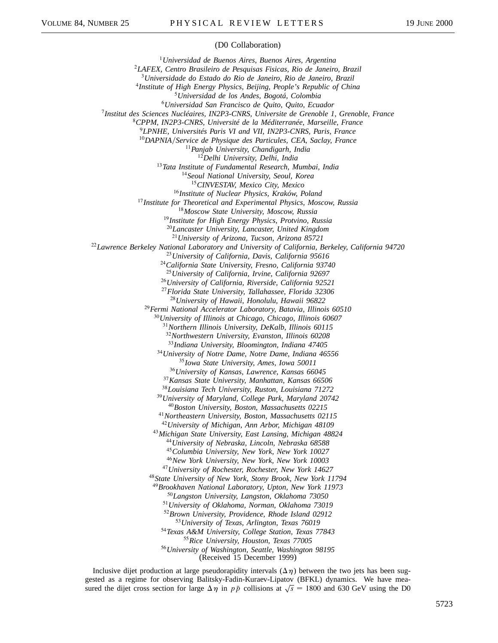## (D0 Collaboration)

*Universidad de Buenos Aires, Buenos Aires, Argentina LAFEX, Centro Brasileiro de Pesquisas Fisicas, Rio de Janeiro, Brazil Universidade do Estado do Rio de Janeiro, Rio de Janeiro, Brazil Institute of High Energy Physics, Beijing, People's Republic of China Universidad de los Andes, Bogotá, Colombia Universidad San Francisco de Quito, Quito, Ecuador Institut des Sciences Nucléaires, IN2P3-CNRS, Universite de Grenoble 1, Grenoble, France CPPM, IN2P3-CNRS, Université de la Méditerranée, Marseille, France LPNHE, Universités Paris VI and VII, IN2P3-CNRS, Paris, France DAPNIAService de Physique des Particules, CEA, Saclay, France Panjab University, Chandigarh, India Delhi University, Delhi, India Tata Institute of Fundamental Research, Mumbai, India Seoul National University, Seoul, Korea CINVESTAV, Mexico City, Mexico Institute of Nuclear Physics, Kraków, Poland Institute for Theoretical and Experimental Physics, Moscow, Russia Moscow State University, Moscow, Russia Institute for High Energy Physics, Protvino, Russia Lancaster University, Lancaster, United Kingdom University of Arizona, Tucson, Arizona 85721 Lawrence Berkeley National Laboratory and University of California, Berkeley, California 94720 University of California, Davis, California 95616 California State University, Fresno, California 93740 University of California, Irvine, California 92697 University of California, Riverside, California 92521 Florida State University, Tallahassee, Florida 32306 University of Hawaii, Honolulu, Hawaii 96822 Fermi National Accelerator Laboratory, Batavia, Illinois 60510 University of Illinois at Chicago, Chicago, Illinois 60607 Northern Illinois University, DeKalb, Illinois 60115 Northwestern University, Evanston, Illinois 60208 Indiana University, Bloomington, Indiana 47405 University of Notre Dame, Notre Dame, Indiana 46556 Iowa State University, Ames, Iowa 50011 University of Kansas, Lawrence, Kansas 66045 Kansas State University, Manhattan, Kansas 66506 Louisiana Tech University, Ruston, Louisiana 71272 University of Maryland, College Park, Maryland 20742 Boston University, Boston, Massachusetts 02215 Northeastern University, Boston, Massachusetts 02115 University of Michigan, Ann Arbor, Michigan 48109 Michigan State University, East Lansing, Michigan 48824 University of Nebraska, Lincoln, Nebraska 68588 Columbia University, New York, New York 10027 New York University, New York, New York 10003 University of Rochester, Rochester, New York 14627 State University of New York, Stony Brook, New York 11794 Brookhaven National Laboratory, Upton, New York 11973 Langston University, Langston, Oklahoma 73050 University of Oklahoma, Norman, Oklahoma 73019 Brown University, Providence, Rhode Island 02912 University of Texas, Arlington, Texas 76019 Texas A&M University, College Station, Texas 77843 Rice University, Houston, Texas 77005 University of Washington, Seattle, Washington 98195* (Received 15 December 1999)

Inclusive dijet production at large pseudorapidity intervals  $(\Delta \eta)$  between the two jets has been suggested as a regime for observing Balitsky-Fadin-Kuraev-Lipatov (BFKL) dynamics. We have measured the dijet cross section for large  $\Delta \eta$  in *pp* collisions at  $\sqrt{s}$  = 1800 and 630 GeV using the D0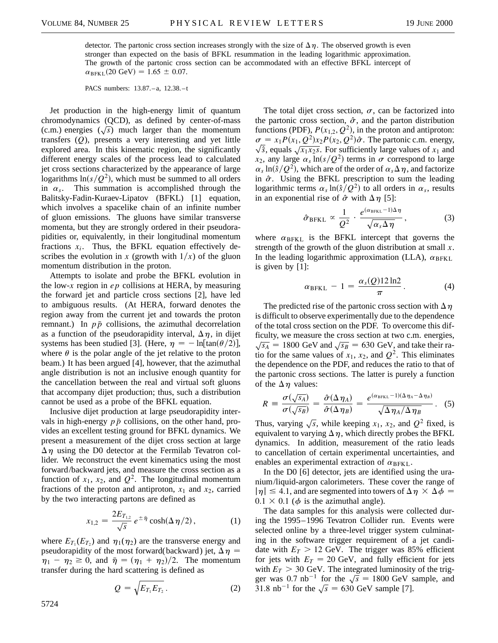detector. The partonic cross section increases strongly with the size of  $\Delta \eta$ . The observed growth is even stronger than expected on the basis of BFKL resummation in the leading logarithmic approximation. The growth of the partonic cross section can be accommodated with an effective BFKL intercept of  $\alpha_{\text{BFKL}}(20 \text{ GeV}) = 1.65 \pm 0.07.$ 

PACS numbers: 13.87.–a, 12.38.–t

Jet production in the high-energy limit of quantum chromodynamics (QCD), as defined by center-of-mass (c.m.) energies  $(\sqrt{s})$  much larger than the momentum transfers (*Q*), presents a very interesting and yet little explored area. In this kinematic region, the significantly different energy scales of the process lead to calculated jet cross sections characterized by the appearance of large logarithms  $\ln(s/Q^2)$ , which must be summed to all orders in  $\alpha_s$ . This summation is accomplished through the Balitsky-Fadin-Kuraev-Lipatov (BFKL) [1] equation, which involves a spacelike chain of an infinite number of gluon emissions. The gluons have similar transverse momenta, but they are strongly ordered in their pseudorapidities or, equivalently, in their longitudinal momentum fractions  $x_i$ . Thus, the BFKL equation effectively describes the evolution in *x* (growth with  $1/x$ ) of the gluon momentum distribution in the proton.

Attempts to isolate and probe the BFKL evolution in the low-*x* region in *ep* collisions at HERA, by measuring the forward jet and particle cross sections [2], have led to ambiguous results. (At HERA, forward denotes the region away from the current jet and towards the proton remnant.) In  $p\bar{p}$  collisions, the azimuthal decorrelation as a function of the pseudorapidity interval,  $\Delta \eta$ , in dijet systems has been studied [3]. (Here,  $\eta = -\ln[\tan(\theta/2)]$ , where  $\theta$  is the polar angle of the jet relative to the proton beam.) It has been argued [4], however, that the azimuthal angle distribution is not an inclusive enough quantity for the cancellation between the real and virtual soft gluons that accompany dijet production; thus, such a distribution cannot be used as a probe of the BFKL equation.

Inclusive dijet production at large pseudorapidity intervals in high-energy  $p\bar{p}$  collisions, on the other hand, provides an excellent testing ground for BFKL dynamics. We present a measurement of the dijet cross section at large  $\Delta \eta$  using the D0 detector at the Fermilab Tevatron collider. We reconstruct the event kinematics using the most forward/backward jets, and measure the cross section as a function of  $x_1$ ,  $x_2$ , and  $Q^2$ . The longitudinal momentum fractions of the proton and antiproton,  $x_1$  and  $x_2$ , carried by the two interacting partons are defined as

$$
x_{1,2} = \frac{2E_{T_{1,2}}}{\sqrt{s}} e^{\pm \bar{\eta}} \cosh(\Delta \eta/2), \qquad (1)
$$

where  $E_{T_1}(E_{T_2})$  and  $\eta_1(\eta_2)$  are the transverse energy and pseudorapidity of the most forward(backward) jet,  $\Delta \eta$  =  $\eta_1 - \eta_2 \ge 0$ , and  $\bar{\eta} = (\eta_1 + \eta_2)/2$ . The momentum transfer during the hard scattering is defined as

$$
Q = \sqrt{E_{T_1} E_{T_2}}.
$$
 (2)

The total dijet cross section,  $\sigma$ , can be factorized into the partonic cross section,  $\hat{\sigma}$ , and the parton distribution functions (PDF),  $P(x_{1,2}, Q^2)$ , in the proton and antiproton:  $\sigma = x_1 P(x_1, Q^2) x_2 P(x_2, Q^2) \hat{\sigma}$ . The partonic c.m. energy,  $\sqrt{\hat{s}}$ , equals  $\sqrt{x_1x_2s}$ . For sufficiently large values of  $x_1$  and  $x_2$ , any large  $\alpha_s \ln(s/Q^2)$  terms in  $\sigma$  correspond to large  $\alpha_s \ln(\frac{s}{Q^2})$ , which are of the order of  $\alpha_s \Delta \eta$ , and factorize in  $\hat{\sigma}$ . Using the BFKL prescription to sum the leading logarithmic terms  $\alpha_s \ln(\hat{s}/Q^2)$  to all orders in  $\alpha_s$ , results in an exponential rise of  $\hat{\sigma}$  with  $\Delta \eta$  [5]:

$$
\hat{\sigma}_{BFKL} \propto \frac{1}{Q^2} \cdot \frac{e^{(\alpha_{BFKL}-1)\Delta\eta}}{\sqrt{\alpha_s\Delta\eta}}, \qquad (3)
$$

where  $\alpha_{BFKL}$  is the BFKL intercept that governs the strength of the growth of the gluon distribution at small *x*. In the leading logarithmic approximation (LLA),  $\alpha_{BFKL}$ is given by [1]:

$$
\alpha_{BFKL} - 1 = \frac{\alpha_s(Q)12 \ln 2}{\pi}.
$$
 (4)

The predicted rise of the partonic cross section with  $\Delta \eta$ is difficult to observe experimentally due to the dependence of the total cross section on the PDF. To overcome this difficulty, we measure the cross section at two c.m. energies,  $\sqrt{s_A}$  = 1800 GeV and  $\sqrt{s_B}$  = 630 GeV, and take their ratio for the same values of  $x_1$ ,  $x_2$ , and  $Q^2$ . This eliminates the dependence on the PDF, and reduces the ratio to that of the partonic cross sections. The latter is purely a function of the  $\Delta \eta$  values:

$$
R = \frac{\sigma(\sqrt{s_A})}{\sigma(\sqrt{s_B})} = \frac{\hat{\sigma}(\Delta \eta_A)}{\hat{\sigma}(\Delta \eta_B)} = \frac{e^{(\alpha_{\text{BFKL}}-1)(\Delta \eta_A - \Delta \eta_B)}}{\sqrt{\Delta \eta_A/\Delta \eta_B}}.
$$
 (5)

Thus, varying  $\sqrt{s}$ , while keeping  $x_1$ ,  $x_2$ , and  $Q^2$  fixed, is equivalent to varying  $\Delta \eta$ , which directly probes the BFKL dynamics. In addition, measurement of the ratio leads to cancellation of certain experimental uncertainties, and enables an experimental extraction of  $\alpha_{BFKL}$ .

In the D0 [6] detector, jets are identified using the uranium/liquid-argon calorimeters. These cover the range of  $|\eta| \leq 4.1$ , and are segmented into towers of  $\Delta \eta \times \Delta \phi =$  $0.1 \times 0.1$  ( $\phi$  is the azimuthal angle).

The data samples for this analysis were collected during the 1995–1996 Tevatron Collider run. Events were selected online by a three-level trigger system culminating in the software trigger requirement of a jet candidate with  $E_T > 12$  GeV. The trigger was 85% efficient for jets with  $E_T = 20$  GeV, and fully efficient for jets with  $E_T > 30$  GeV. The integrated luminosity of the trigger was 0.7 nb<sup>-1</sup> for the  $\sqrt{s}$  = 1800 GeV sample, and 31.8 nb<sup>-1</sup> for the  $\sqrt{s}$  = 630 GeV sample [7].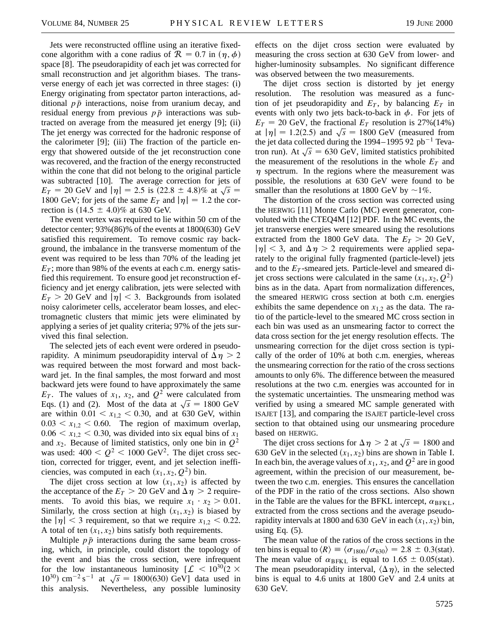Jets were reconstructed offline using an iterative fixedcone algorithm with a cone radius of  $\mathcal{R} = 0.7$  in  $(\eta, \phi)$ space [8]. The pseudorapidity of each jet was corrected for small reconstruction and jet algorithm biases. The transverse energy of each jet was corrected in three stages: (i) Energy originating from spectator parton interactions, additional  $p\bar{p}$  interactions, noise from uranium decay, and residual energy from previous  $p\bar{p}$  interactions was subtracted on average from the measured jet energy [9]; (ii) The jet energy was corrected for the hadronic response of the calorimeter [9]; (iii) The fraction of the particle energy that showered outside of the jet reconstruction cone was recovered, and the fraction of the energy reconstructed within the cone that did not belong to the original particle was subtracted [10]. The average correction for jets of was subtracted [10]. The average correction for jets of  $E_T = 20 \text{ GeV}$  and  $|\eta| = 2.5$  is  $(22.8 \pm 4.8)\%$  at  $\sqrt{s} =$ 1800 GeV; for jets of the same  $E_T$  and  $|\eta| = 1.2$  the correction is  $(14.5 \pm 4.0)\%$  at 630 GeV.

The event vertex was required to lie within 50 cm of the detector center; 93%(86)% of the events at 1800(630) GeV satisfied this requirement. To remove cosmic ray background, the imbalance in the transverse momentum of the event was required to be less than 70% of the leading jet  $E_T$ ; more than 98% of the events at each c.m. energy satisfied this requirement. To ensure good jet reconstruction efficiency and jet energy calibration, jets were selected with  $E_T > 20$  GeV and  $|\eta| < 3$ . Backgrounds from isolated noisy calorimeter cells, accelerator beam losses, and electromagnetic clusters that mimic jets were eliminated by applying a series of jet quality criteria; 97% of the jets survived this final selection.

The selected jets of each event were ordered in pseudorapidity. A minimum pseudorapidity interval of  $\Delta \eta > 2$ was required between the most forward and most backward jet. In the final samples, the most forward and most backward jets were found to have approximately the same  $E_T$ . The values of  $x_1$ ,  $x_2$ , and  $Q^2$  were calculated from Eqs. (1) and (2). Most of the data at  $\sqrt{s}$  = 1800 GeV are within  $0.01 < x_{1,2} < 0.30$ , and at 630 GeV, within  $0.03 < x_{1,2} < 0.60$ . The region of maximum overlap,  $0.06 < x_{1,2} < 0.30$ , was divided into six equal bins of  $x_1$ and  $x_2$ . Because of limited statistics, only one bin in  $Q^2$ was used:  $400 < Q^2 < 1000$  GeV<sup>2</sup>. The dijet cross section, corrected for trigger, event, and jet selection inefficiencies, was computed in each  $(x_1, x_2, Q^2)$  bin.

The dijet cross section at low  $(x_1, x_2)$  is affected by the acceptance of the  $E_T > 20$  GeV and  $\Delta \eta > 2$  requirements. To avoid this bias, we require  $x_1 \cdot x_2 > 0.01$ . Similarly, the cross section at high  $(x_1, x_2)$  is biased by the  $|\eta| < 3$  requirement, so that we require  $x_{1,2} < 0.22$ . A total of ten  $(x_1, x_2)$  bins satisfy both requirements.

Multiple  $p\bar{p}$  interactions during the same beam crossing, which, in principle, could distort the topology of the event and bias the cross section, were infrequent for the low instantaneous luminosity  $\mathcal{L} < 10^{30}(2 \times$ for the low instantaneous luminosity  $2 \times 10^{-30}$  cm<sup>-2</sup> s<sup>-1</sup> at  $\sqrt{s}$  = 1800(630) GeV] data used in this analysis. Nevertheless, any possible luminosity

effects on the dijet cross section were evaluated by measuring the cross section at 630 GeV from lower- and higher-luminosity subsamples. No significant difference was observed between the two measurements.

The dijet cross section is distorted by jet energy resolution. The resolution was measured as a function of jet pseudorapidity and  $E_T$ , by balancing  $E_T$  in events with only two jets back-to-back in  $\phi$ . For jets of  $E_T = 20$  GeV, the fractional  $E_T$  resolution is 27%(14%)  $E_T = 20 \text{ GeV}$ , the fractional  $E_T$  resolution is 27%(14%)<br>at  $|\eta| = 1.2(2.5)$  and  $\sqrt{s} = 1800 \text{ GeV}$  (measured from the jet data collected during the 1994–1995 92  $pb^{-1}$  Tevatron run). At  $\sqrt{s}$  = 630 GeV, limited statistics prohibited the measurement of the resolutions in the whole  $E_T$  and  $\eta$  spectrum. In the regions where the measurement was possible, the resolutions at 630 GeV were found to be smaller than the resolutions at 1800 GeV by  $\sim$ 1%.

The distortion of the cross section was corrected using the HERWIG [11] Monte Carlo (MC) event generator, convoluted with the CTEQ4M [12] PDF. In the MC events, the jet transverse energies were smeared using the resolutions extracted from the 1800 GeV data. The  $E_T > 20$  GeV,  $|\eta| < 3$ , and  $\Delta \eta > 2$  requirements were applied separately to the original fully fragmented (particle-level) jets and to the  $E_T$ -smeared jets. Particle-level and smeared dijet cross sections were calculated in the same  $(x_1, x_2, Q^2)$ bins as in the data. Apart from normalization differences, the smeared HERWIG cross section at both c.m. energies exhibits the same dependence on  $x_{1,2}$  as the data. The ratio of the particle-level to the smeared MC cross section in each bin was used as an unsmearing factor to correct the data cross section for the jet energy resolution effects. The unsmearing correction for the dijet cross section is typically of the order of 10% at both c.m. energies, whereas the unsmearing correction for the ratio of the cross sections amounts to only 6%. The difference between the measured resolutions at the two c.m. energies was accounted for in the systematic uncertainties. The unsmearing method was verified by using a smeared MC sample generated with ISAJET [13], and comparing the ISAJET particle-level cross section to that obtained using our unsmearing procedure based on HERWIG.

The dijet cross sections for  $\Delta \eta > 2$  at  $\sqrt{s} = 1800$  and 630 GeV in the selected  $(x_1, x_2)$  bins are shown in Table I. In each bin, the average values of  $x_1, x_2$ , and  $Q^2$  are in good agreement, within the precision of our measurement, between the two c.m. energies. This ensures the cancellation of the PDF in the ratio of the cross sections. Also shown in the Table are the values for the BFKL intercept,  $\alpha_{BFKL}$ , extracted from the cross sections and the average pseudorapidity intervals at 1800 and 630 GeV in each  $(x_1, x_2)$  bin, using Eq.  $(5)$ .

The mean value of the ratios of the cross sections in the ten bins is equal to  $\langle R \rangle \equiv \langle \sigma_{1800} / \sigma_{630} \rangle = 2.8 \pm 0.3 \text{(stat)}$ . The mean value of  $\alpha_{BFKL}$  is equal to 1.65  $\pm$  0.05(stat). The mean pseudorapidity interval,  $\langle \Delta \eta \rangle$ , in the selected bins is equal to 4.6 units at 1800 GeV and 2.4 units at 630 GeV.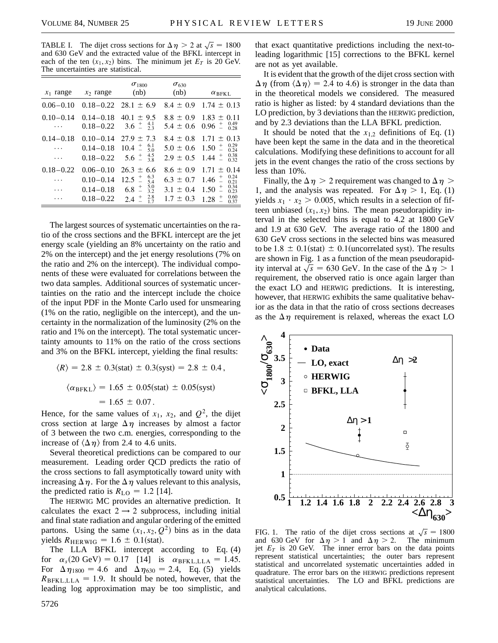TABLE I. The dijet cross sections for  $\Delta \eta > 2$  at  $\sqrt{s} = 1800$ and 630 GeV and the extracted value of the BFKL intercept in each of the ten  $(x_1, x_2)$  bins. The minimum jet  $E_T$  is 20 GeV. The uncertainties are statistical.

| $x_1$ range                         | $x_2$ range                                                      | $\sigma_{1800}$<br>(nb)                                                                                                     | $\sigma_{630}$<br>(nb)                                           | $\alpha$ <sub>BFKL</sub>                                                                                                 |
|-------------------------------------|------------------------------------------------------------------|-----------------------------------------------------------------------------------------------------------------------------|------------------------------------------------------------------|--------------------------------------------------------------------------------------------------------------------------|
| $0.06 - 0.10$                       | $0.18 - 0.22$                                                    | $28.1 \pm 6.9$                                                                                                              | $8.4 \pm 0.9$                                                    | $1.74 \pm 0.13$                                                                                                          |
| $0.10 - 0.14$<br>.                  | $0.14 - 0.18$<br>$0.18 - 0.22$                                   | $40.1 \pm 9.5$<br>$3.6 \pm \frac{4.1}{2.3}$                                                                                 | $8.8 \pm 0.9$<br>$5.4 \pm 0.6$                                   | $1.83 \pm 0.11$<br>$\begin{array}{c} 0.49 \\ 0.28 \end{array}$<br>$0.96 \pm 0.00$                                        |
| $0.14 - 0.18$<br>.                  | $0.10 - 0.14$<br>$0.14 - 0.18$<br>$0.18 - 0.22$                  | $27.9 \pm 7.3$<br>$10.4 \pm 6.1$<br>$5.6^{+4.5}_{-4.8}$                                                                     | $8.4 \pm 0.8$<br>$5.0 \pm 0.6$<br>$2.9 \pm 0.5$                  | $1.71 \pm$<br>0.13<br>0.29<br>$1.50 \pm 1.50$<br>0.24<br>0.38<br>$1.44 \pm 1.44$<br>0.32                                 |
| $0.18 - 0.22$<br>.<br>.<br>$\cdots$ | $0.06 - 0.10$<br>$0.10 - 0.14$<br>$0.14 - 0.18$<br>$0.18 - 0.22$ | $26.3 \pm 6.6$<br>$6.3$<br>5.4<br>$\overline{a}$<br>12.5<br>5.0<br>$\overline{a}$<br>6.8<br>3.2<br>2.8<br>$^{+}_{-}$<br>2.4 | $8.6 \pm 0.9$<br>$6.3 \pm 0.7$<br>$3.1 \pm 0.4$<br>$1.7 \pm 0.3$ | 0.14<br>$1.71 \pm$<br>0.24<br>$^{+}$<br>1.46<br>0.21<br>0.34<br>$\overline{a}$<br>1.50<br>0.23<br>0.60<br>$^{+}$<br>1.28 |
|                                     |                                                                  |                                                                                                                             |                                                                  | 0.37                                                                                                                     |

The largest sources of systematic uncertainties on the ratio of the cross sections and the BFKL intercept are the jet energy scale (yielding an 8% uncertainty on the ratio and 2% on the intercept) and the jet energy resolutions (7% on the ratio and 2% on the intercept). The individual components of these were evaluated for correlations between the two data samples. Additional sources of systematic uncertainties on the ratio and the intercept include the choice of the input PDF in the Monte Carlo used for unsmearing (1% on the ratio, negligible on the intercept), and the uncertainty in the normalization of the luminosity (2% on the ratio and 1% on the intercept). The total systematic uncertainty amounts to 11% on the ratio of the cross sections and 3% on the BFKL intercept, yielding the final results:

$$
\langle R \rangle = 2.8 \pm 0.3 \text{(stat)} \pm 0.3 \text{(syst)} = 2.8 \pm 0.4,
$$
  
 $\langle \alpha_{\text{BFKL}} \rangle = 1.65 \pm 0.05 \text{(stat)} \pm 0.05 \text{(syst)} = 1.65 \pm 0.07.$ 

Hence, for the same values of  $x_1$ ,  $x_2$ , and  $Q^2$ , the dijet cross section at large  $\Delta \eta$  increases by almost a factor of 3 between the two c.m. energies, corresponding to the increase of  $\langle \Delta \eta \rangle$  from 2.4 to 4.6 units.

Several theoretical predictions can be compared to our measurement. Leading order QCD predicts the ratio of the cross sections to fall asymptotically toward unity with increasing  $\Delta \eta$ . For the  $\Delta \eta$  values relevant to this analysis, the predicted ratio is  $R_{\text{LO}} = 1.2$  [14].

The HERWIG MC provides an alternative prediction. It calculates the exact  $2 \rightarrow 2$  subprocess, including initial and final state radiation and angular ordering of the emitted partons. Using the same  $(x_1, x_2, Q^2)$  bins as in the data yields  $R_{\text{HERWIG}} = 1.6 \pm 0.1 \text{(stat)}$ .

The LLA BFKL intercept according to Eq. (4) for  $\alpha_s(20 \text{ GeV}) = 0.17$  [14] is  $\alpha_{\text{BFKL},\text{LLA}} = 1.45$ . For  $\Delta \eta_{1800} = 4.6$  and  $\Delta \eta_{630} = 2.4$ , Eq. (5) yields  $R_{BFKL,LLA} = 1.9$ . It should be noted, however, that the leading log approximation may be too simplistic, and that exact quantitative predictions including the next-toleading logarithmic [15] corrections to the BFKL kernel are not as yet available.

It is evident that the growth of the dijet cross section with  $\Delta \eta$  (from  $\langle \Delta \eta \rangle$  = 2.4 to 4.6) is stronger in the data than in the theoretical models we considered. The measured ratio is higher as listed: by 4 standard deviations than the LO prediction, by 3 deviations than the HERWIG prediction, and by 2.3 deviations than the LLA BFKL prediction.

It should be noted that the  $x_{12}$  definitions of Eq. (1) have been kept the same in the data and in the theoretical calculations. Modifying these definitions to account for all jets in the event changes the ratio of the cross sections by less than 10%.

Finally, the  $\Delta \eta > 2$  requirement was changed to  $\Delta \eta >$ 1, and the analysis was repeated. For  $\Delta \eta > 1$ , Eq. (1) yields  $x_1 \cdot x_2 > 0.005$ , which results in a selection of fifteen unbiased  $(x_1, x_2)$  bins. The mean pseudorapidity interval in the selected bins is equal to 4.2 at 1800 GeV and 1.9 at 630 GeV. The average ratio of the 1800 and 630 GeV cross sections in the selected bins was measured to be 1.8  $\pm$  0.1(stat)  $\pm$  0.1(uncorrelated syst). The results are shown in Fig. 1 as a function of the mean pseudorapidity interval at  $\sqrt{s}$  = 630 GeV. In the case of the  $\Delta \eta > 1$ requirement, the observed ratio is once again larger than the exact LO and HERWIG predictions. It is interesting, however, that HERWIG exhibits the same qualitative behavior as the data in that the ratio of cross sections decreases as the  $\Delta \eta$  requirement is relaxed, whereas the exact LO



FIG. 1. The ratio of the dijet cross sections at  $\sqrt{s}$  = 1800 and 630 GeV for  $\Delta \eta > 1$  and  $\Delta \eta > 2$ . The minimum jet  $E_T$  is 20 GeV. The inner error bars on the data points represent statistical uncertainties; the outer bars represent statistical and uncorrelated systematic uncertainties added in quadrature. The error bars on the HERWIG predictions represent statistical uncertainties. The LO and BFKL predictions are analytical calculations.